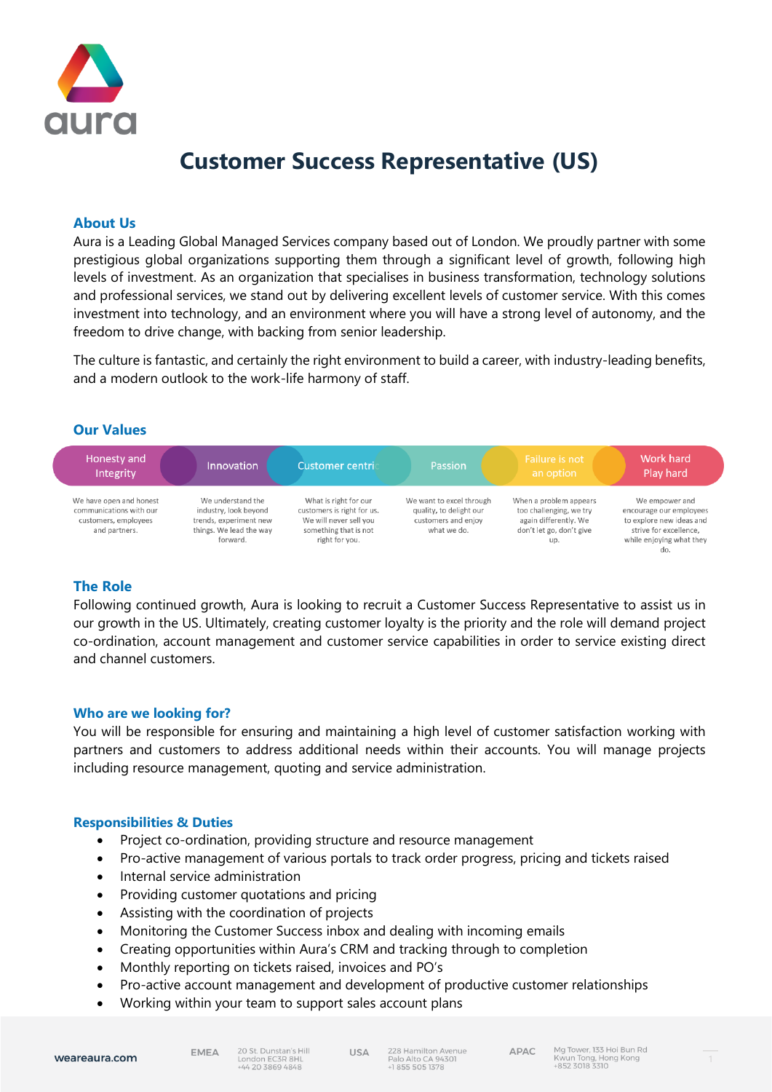

# **Customer Success Representative (US)**

## **About Us**

Aura is a Leading Global Managed Services company based out of London. We proudly partner with some prestigious global organizations supporting them through a significant level of growth, following high levels of investment. As an organization that specialises in business transformation, technology solutions and professional services, we stand out by delivering excellent levels of customer service. With this comes investment into technology, and an environment where you will have a strong level of autonomy, and the freedom to drive change, with backing from senior leadership.

The culture is fantastic, and certainly the right environment to build a career, with industry-leading benefits, and a modern outlook to the work-life harmony of staff.

## **Our Values**



# **The Role**

Following continued growth, Aura is looking to recruit a Customer Success Representative to assist us in our growth in the US. Ultimately, creating customer loyalty is the priority and the role will demand project co-ordination, account management and customer service capabilities in order to service existing direct and channel customers.

## **Who are we looking for?**

You will be responsible for ensuring and maintaining a high level of customer satisfaction working with partners and customers to address additional needs within their accounts. You will manage projects including resource management, quoting and service administration.

## **Responsibilities & Duties**

- Project co-ordination, providing structure and resource management
- Pro-active management of various portals to track order progress, pricing and tickets raised
- Internal service administration
- Providing customer quotations and pricing
- Assisting with the coordination of projects
- Monitoring the Customer Success inbox and dealing with incoming emails
- Creating opportunities within Aura's CRM and tracking through to completion
- Monthly reporting on tickets raised, invoices and PO's
- Pro-active account management and development of productive customer relationships

**USA** 

• Working within your team to support sales account plans